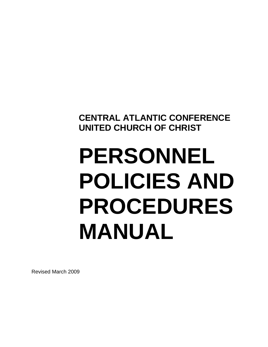**CENTRAL ATLANTIC CONFERENCE UNITED CHURCH OF CHRIST**

# **PERSONNEL POLICIES AND PROCEDURES MANUAL**

Revised March 2009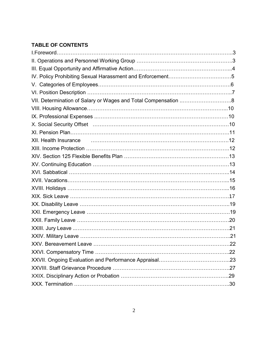## **TABLE OF CONTENTS**

| VII. Determination of Salary or Wages and Total Compensation 8                                                  |  |
|-----------------------------------------------------------------------------------------------------------------|--|
|                                                                                                                 |  |
|                                                                                                                 |  |
|                                                                                                                 |  |
|                                                                                                                 |  |
| XII. Health Insurance <b>constructed and the Construction Construction</b> and the <b>XII.</b> Health Insurance |  |
|                                                                                                                 |  |
|                                                                                                                 |  |
|                                                                                                                 |  |
|                                                                                                                 |  |
|                                                                                                                 |  |
|                                                                                                                 |  |
|                                                                                                                 |  |
|                                                                                                                 |  |
|                                                                                                                 |  |
|                                                                                                                 |  |
|                                                                                                                 |  |
|                                                                                                                 |  |
|                                                                                                                 |  |
|                                                                                                                 |  |
|                                                                                                                 |  |
|                                                                                                                 |  |
|                                                                                                                 |  |
|                                                                                                                 |  |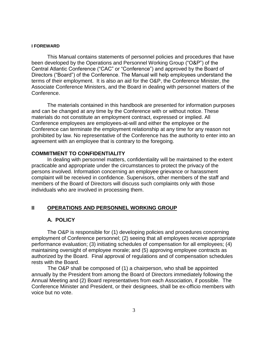#### **I FOREWARD**

This Manual contains statements of personnel policies and procedures that have been developed by the Operations and Personnel Working Group ("O&P") of the Central Atlantic Conference ("CAC" or "Conference") and approved by the Board of Directors ("Board") of the Conference. The Manual will help employees understand the terms of their employment. It is also an aid for the O&P, the Conference Minister, the Associate Conference Ministers, and the Board in dealing with personnel matters of the Conference.

The materials contained in this handbook are presented for information purposes and can be changed at any time by the Conference with or without notice. These materials do not constitute an employment contract, expressed or implied. All Conference employees are employees-at-will and either the employee or the Conference can terminate the employment relationship at any time for any reason not prohibited by law. No representative of the Conference has the authority to enter into an agreement with an employee that is contrary to the foregoing.

#### **COMMITMENT TO CONFIDENTIALITY**

In dealing with personnel matters, confidentiality will be maintained to the extent practicable and appropriate under the circumstances to protect the privacy of the persons involved. Information concerning an employee grievance or harassment complaint will be received in confidence. Supervisors, other members of the staff and members of the Board of Directors will discuss such complaints only with those individuals who are involved in processing them.

#### **II OPERATIONS AND PERSONNEL WORKING GROUP**

#### **A. POLICY**

The O&P is responsible for (1) developing policies and procedures concerning employment of Conference personnel; (2) seeing that all employees receive appropriate performance evaluation; (3) initiating schedules of compensation for all employees; (4) maintaining oversight of employee morale; and (5) approving employee contracts as authorized by the Board. Final approval of regulations and of compensation schedules rests with the Board.

 The O&P shall be composed of (1) a chairperson, who shall be appointed annually by the President from among the Board of Directors immediately following the Annual Meeting and (2) Board representatives from each Association, if possible. The Conference Minister and President, or their designees, shall be ex-officio members with voice but no vote.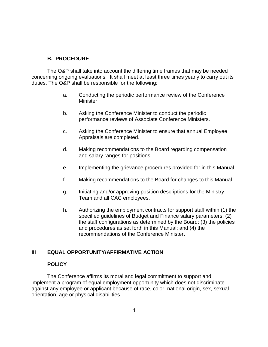#### **B. PROCEDURE**

The O&P shall take into account the differing time frames that may be needed concerning ongoing evaluations. It shall meet at least three times yearly to carry out its duties. The O&P shall be responsible for the following:

- a. Conducting the periodic performance review of the Conference **Minister**
- b. Asking the Conference Minister to conduct the periodic performance reviews of Associate Conference Ministers.
- c. Asking the Conference Minister to ensure that annual Employee Appraisals are completed.
- d. Making recommendations to the Board regarding compensation and salary ranges for positions.
- e. Implementing the grievance procedures provided for in this Manual.
- f. Making recommendations to the Board for changes to this Manual.
- g. Initiating and/or approving position descriptions for the Ministry Team and all CAC employees.
- h. Authorizing the employment contracts for support staff within (1) the specified guidelines of Budget and Finance salary parameters; (2) the staff configurations as determined by the Board; (3) the policies and procedures as set forth in this Manual; and (4) the recommendations of the Conference Minister**.**

#### **III EQUAL OPPORTUNITY/AFFIRMATIVE ACTION**

#### **POLICY**

The Conference affirms its moral and legal commitment to support and implement a program of equal employment opportunity which does not discriminate against any employee or applicant because of race, color, national origin, sex, sexual orientation, age or physical disabilities.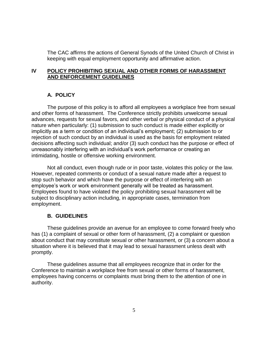The CAC affirms the actions of General Synods of the United Church of Christ in keeping with equal employment opportunity and affirmative action.

#### **IV POLICY PROHIBITING SEXUAL AND OTHER FORMS OF HARASSMENT AND ENFORCEMENT GUIDELINES**

#### **A. POLICY**

The purpose of this policy is to afford all employees a workplace free from sexual and other forms of harassment. The Conference strictly prohibits unwelcome sexual advances, requests for sexual favors, and other verbal or physical conduct of a physical nature when particularly: (1) submission to such conduct is made either explicitly or implicitly as a term or condition of an individual's employment; (2) submission to or rejection of such conduct by an individual is used as the basis for employment related decisions affecting such individual; and/or (3) such conduct has the purpose or effect of unreasonably interfering with an individual's work performance or creating an intimidating, hostile or offensive working environment.

Not all conduct, even though rude or in poor taste, violates this policy or the law. However, repeated comments or conduct of a sexual nature made after a request to stop such behavior and which have the purpose or effect of interfering with an employee's work or work environment generally will be treated as harassment. Employees found to have violated the policy prohibiting sexual harassment will be subject to disciplinary action including, in appropriate cases, termination from employment.

#### **B. GUIDELINES**

These guidelines provide an avenue for an employee to come forward freely who has (1) a complaint of sexual or other form of harassment, (2) a complaint or question about conduct that may constitute sexual or other harassment, or (3) a concern about a situation where it is believed that it may lead to sexual harassment unless dealt with promptly.

These guidelines assume that all employees recognize that in order for the Conference to maintain a workplace free from sexual or other forms of harassment, employees having concerns or complaints must bring them to the attention of one in authority.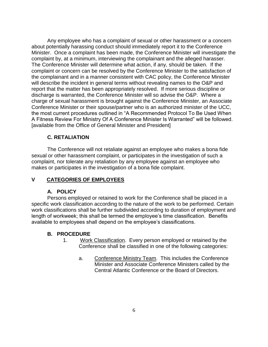Any employee who has a complaint of sexual or other harassment or a concern about potentially harassing conduct should immediately report it to the Conference Minister. Once a complaint has been made, the Conference Minister will investigate the complaint by, at a minimum, interviewing the complainant and the alleged harasser. The Conference Minister will determine what action, if any, should be taken. If the complaint or concern can be resolved by the Conference Minister to the satisfaction of the complainant and in a manner consistent with CAC policy, the Conference Minister will describe the incident in general terms without revealing names to the O&P and report that the matter has been appropriately resolved. If more serious discipline or discharge is warranted, the Conference Minister will so advise the O&P. Where a charge of sexual harassment is brought against the Conference Minister, an Associate Conference Minister or their spouse/partner who is an authorized minister of the UCC, the most current procedures outlined in "A Recommended Protocol To Be Used When A Fitness Review For Ministry Of A Conference Minister Is Warranted" will be followed. [available from the Office of General Minister and President]

#### **C. RETALIATION**

The Conference will not retaliate against an employee who makes a bona fide sexual or other harassment complaint, or participates in the investigation of such a complaint, nor tolerate any retaliation by any employee against an employee who makes or participates in the investigation of a bona fide complaint.

#### **V CATEGORIES OF EMPLOYEES**

#### **A. POLICY**

Persons employed or retained to work for the Conference shall be placed in a specific work classification according to the nature of the work to be performed. Certain work classifications shall be further subdivided according to duration of employment and length of workweek; this shall be termed the employee's time classification. Benefits available to employees shall depend on the employee's classifications.

- 1. Work Classification. Every person employed or retained by the Conference shall be classified in one of the following categories:
	- a. Conference Ministry Team. This includes the Conference Minister and Associate Conference Ministers called by the Central Atlantic Conference or the Board of Directors.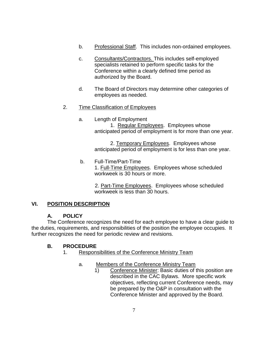- b. Professional Staff. This includes non-ordained employees.
- c. Consultants/Contractors. This includes self-employed specialists retained to perform specific tasks for the Conference within a clearly defined time period as authorized by the Board.
- d. The Board of Directors may determine other categories of employees as needed.

## 2. Time Classification of Employees

a. Length of Employment 1. Regular Employees. Employees whose anticipated period of employment is for more than one year.

> 2. Temporary Employees. Employees whose anticipated period of employment is for less than one year.

b. Full-Time/Part-Time 1. Full-Time Employees. Employees whose scheduled workweek is 30 hours or more.

2. Part-Time Employees. Employees whose scheduled workweek is less than 30 hours.

## **VI. POSITION DESCRIPTION**

## **A. POLICY**

The Conference recognizes the need for each employee to have a clear guide to the duties, requirements, and responsibilities of the position the employee occupies. It further recognizes the need for periodic review and revisions.

- 1. Responsibilities of the Conference Ministry Team
	- a. Members of the Conference Ministry Team
		- 1) Conference Minister: Basic duties of this position are described in the CAC Bylaws. More specific work objectives, reflecting current Conference needs, may be prepared by the O&P in consultation with the Conference Minister and approved by the Board.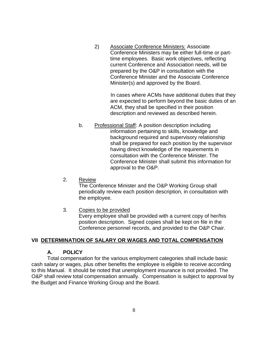2) Associate Conference Ministers: Associate Conference Ministers may be either full-time or parttime employees. Basic work objectives, reflecting current Conference and Association needs, will be prepared by the O&P in consultation with the Conference Minister and the Associate Conference Minister(s) and approved by the Board.

> In cases where ACMs have additional duties that they are expected to perform beyond the basic duties of an ACM, they shall be specified in their position description and reviewed as described herein.

- b. Professional Staff: A position description including information pertaining to skills, knowledge and background required and supervisory relationship shall be prepared for each position by the supervisor having direct knowledge of the requirements in consultation with the Conference Minister. The Conference Minister shall submit this information for approval to the O&P.
- 2. Review The Conference Minister and the O&P Working Group shall periodically review each position description, in consultation with the employee.
- 3. Copies to be provided Every employee shall be provided with a current copy of her/his position description. Signed copies shall be kept on file in the Conference personnel records, and provided to the O&P Chair.

#### **VII DETERMINATION OF SALARY OR WAGES AND TOTAL COMPENSATION**

#### **A. POLICY**

Total compensation for the various employment categories shall include basic cash salary or wages, plus other benefits the employee is eligible to receive according to this Manual. It should be noted that unemployment insurance is not provided. The O&P shall review total compensation annually. Compensation is subject to approval by the Budget and Finance Working Group and the Board.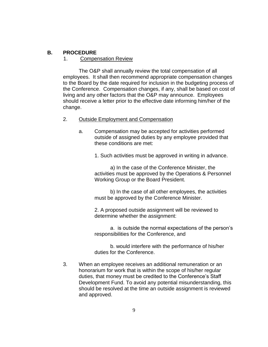#### **B. PROCEDURE**

#### 1. Compensation Review

The O&P shall annually review the total compensation of all employees. It shall then recommend appropriate compensation changes to the Board by the date required for inclusion in the budgeting process of the Conference. Compensation changes, if any, shall be based on cost of living and any other factors that the O&P may announce. Employees should receive a letter prior to the effective date informing him/her of the change.

#### 2. Outside Employment and Compensation

 a. Compensation may be accepted for activities performed outside of assigned duties by any employee provided that these conditions are met:

1. Such activities must be approved in writing in advance.

a) In the case of the Conference Minister, the activities must be approved by the Operations & Personnel Working Group or the Board President.

b) In the case of all other employees, the activities must be approved by the Conference Minister.

2. A proposed outside assignment will be reviewed to determine whether the assignment:

a. is outside the normal expectations of the person's responsibilities for the Conference, and

b. would interfere with the performance of his/her duties for the Conference.

3. When an employee receives an additional remuneration or an honorarium for work that is within the scope of his/her regular duties, that money must be credited to the Conference's Staff Development Fund. To avoid any potential misunderstanding, this should be resolved at the time an outside assignment is reviewed and approved.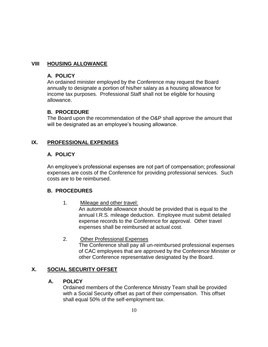## **VIII HOUSING ALLOWANCE**

#### **A. POLICY**

An ordained minister employed by the Conference may request the Board annually to designate a portion of his/her salary as a housing allowance for income tax purposes. Professional Staff shall not be eligible for housing allowance.

#### **B. PROCEDURE**

The Board upon the recommendation of the O&P shall approve the amount that will be designated as an employee's housing allowance.

## **IX. PROFESSIONAL EXPENSES**

## **A. POLICY**

An employee's professional expenses are not part of compensation; professional expenses are costs of the Conference for providing professional services. Such costs are to be reimbursed.

#### **B. PROCEDURES**

1. Mileage and other travel:

An automobile allowance should be provided that is equal to the annual I.R.S. mileage deduction. Employee must submit detailed expense records to the Conference for approval. Other travel expenses shall be reimbursed at actual cost.

#### 2. Other Professional Expenses

 The Conference shall pay all un-reimbursed professional expenses of CAC employees that are approved by the Conference Minister or other Conference representative designated by the Board.

## **X. SOCIAL SECURITY OFFSET**

#### **A. POLICY**

Ordained members of the Conference Ministry Team shall be provided with a Social Security offset as part of their compensation. This offset shall equal 50% of the self-employment tax.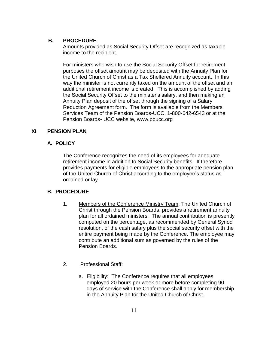### **B. PROCEDURE**

Amounts provided as Social Security Offset are recognized as taxable income to the recipient.

For ministers who wish to use the Social Security Offset for retirement purposes the offset amount may be deposited with the Annuity Plan for the United Church of Christ as a Tax Sheltered Annuity account. In this way the minister is not currently taxed on the amount of the offset and an additional retirement income is created. This is accomplished by adding the Social Security Offset to the minister's salary, and then making an Annuity Plan deposit of the offset through the signing of a Salary Reduction Agreement form. The form is available from the Members Services Team of the Pension Boards-UCC, 1-800-642-6543 or at the Pension Boards- UCC website, www.pbucc.org

## **XI PENSION PLAN**

## **A. POLICY**

The Conference recognizes the need of its employees for adequate retirement income in addition to Social Security benefits. It therefore provides payments for eligible employees to the appropriate pension plan of the United Church of Christ according to the employee's status as ordained or lay.

- 1. Members of the Conference Ministry Team: The United Church of Christ through the Pension Boards, provides a retirement annuity plan for all ordained ministers. The annual contribution is presently computed on the percentage, as recommended by General Synod resolution, of the cash salary plus the social security offset with the entire payment being made by the Conference. The employee may contribute an additional sum as governed by the rules of the Pension Boards.
- 2. Professional Staff:
	- a. Eligibility: The Conference requires that all employees employed 20 hours per week or more before completing 90 days of service with the Conference shall apply for membership in the Annuity Plan for the United Church of Christ.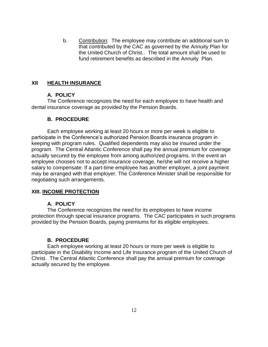b. Contribution: The employee may contribute an additional sum to that contributed by the CAC as governed by the Annuity Plan for the United Church of Christ.. The total amount shall be used to fund retirement benefits as described in the Annuity Plan.

#### **XII HEALTH INSURANCE**

#### **A. POLICY**

The Conference recognizes the need for each employee to have health and dental insurance coverage as provided by the Pension Boards.

#### **B. PROCEDURE**

Each employee working at least 20 hours or more per week is eligible to participate in the Conference's authorized Pension Boards insurance program in keeping with program rules. Qualified dependents may also be insured under the program. The Central Atlantic Conference shall pay the annual premium for coverage actually secured by the employee from among authorized programs. In the event an employee chooses not to accept insurance coverage, he/she will not receive a higher salary to compensate. If a part-time employee has another employer, a joint payment may be arranged with that employer. The Conference Minister shall be responsible for negotiating such arrangements.

#### **XIII. INCOME PROTECTION**

#### **A. POLICY**

The Conference recognizes the need for its employees to have income protection through special insurance programs. The CAC participates in such programs provided by the Pension Boards, paying premiums for its eligible employees.

#### **B. PROCEDURE**

Each employee working at least 20 hours or more per week is eligible to participate in the Disability Income and Life Insurance program of the United Church of Christ. The Central Atlantic Conference shall pay the annual premium for coverage actually secured by the employee.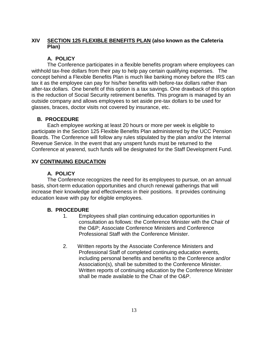## **XIV SECTION 125 FLEXIBLE BENEFITS PLAN (also known as the Cafeteria Plan)**

## **A. POLICY**

The Conference participates in a flexible benefits program where employees can withhold tax-free dollars from their pay to help pay certain qualifying expenses. The concept behind a Flexible Benefits Plan is much like banking money before the IRS can tax it as the employee can pay for his/her benefits with before-tax dollars rather than after-tax dollars. One benefit of this option is a tax savings. One drawback of this option is the reduction of Social Security retirement benefits. This program is managed by an outside company and allows employees to set aside pre-tax dollars to be used for glasses, braces, doctor visits not covered by insurance, etc.

## **B. PROCEDURE**

Each employee working at least 20 hours or more per week is eligible to participate in the Section 125 Flexible Benefits Plan administered by the UCC Pension Boards. The Conference will follow any rules stipulated by the plan and/or the Internal Revenue Service. In the event that any unspent funds must be returned to the Conference at yearend, such funds will be designated for the Staff Development Fund.

## **XV CONTINUING EDUCATION**

## **A. POLICY**

The Conference recognizes the need for its employees to pursue, on an annual basis, short-term education opportunities and church renewal gatherings that will increase their knowledge and effectiveness in their positions. It provides continuing education leave with pay for eligible employees.

- 1. Employees shall plan continuing education opportunities in consultation as follows: the Conference Minister with the Chair of the O&P; Associate Conference Ministers and Conference Professional Staff with the Conference Minister.
- 2. Written reports by the Associate Conference Ministers and Professional Staff of completed continuing education events, including personal benefits and benefits to the Conference and/or Association(s), shall be submitted to the Conference Minister. Written reports of continuing education by the Conference Minister shall be made available to the Chair of the O&P.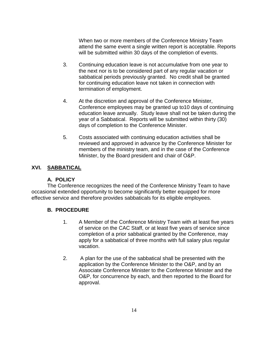When two or more members of the Conference Ministry Team attend the same event a single written report is acceptable. Reports will be submitted within 30 days of the completion of events.

- 3. Continuing education leave is not accumulative from one year to the next nor is to be considered part of any regular vacation or sabbatical periods previously granted. No credit shall be granted for continuing education leave not taken in connection with termination of employment.
- 4. At the discretion and approval of the Conference Minister, Conference employees may be granted up to10 days of continuing education leave annually. Study leave shall not be taken during the year of a Sabbatical. Reports will be submitted within thirty (30) days of completion to the Conference Minister.
- 5. Costs associated with continuing education activities shall be reviewed and approved in advance by the Conference Minister for members of the ministry team, and in the case of the Conference Minister, by the Board president and chair of O&P.

## **XVI. SABBATICAL**

## **A. POLICY**

The Conference recognizes the need of the Conference Ministry Team to have occasional extended opportunity to become significantly better equipped for more effective service and therefore provides sabbaticals for its eligible employees.

- 1. A Member of the Conference Ministry Team with at least five years of service on the CAC Staff, or at least five years of service since completion of a prior sabbatical granted by the Conference, may apply for a sabbatical of three months with full salary plus regular vacation.
- 2. A plan for the use of the sabbatical shall be presented with the application by the Conference Minister to the O&P, and by an Associate Conference Minister to the Conference Minister and the O&P, for concurrence by each, and then reported to the Board for approval.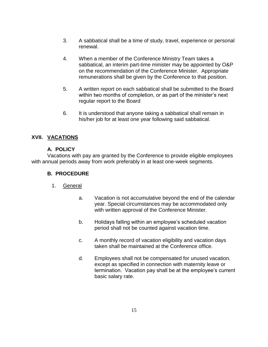- 3. A sabbatical shall be a time of study, travel, experience or personal renewal.
- 4. When a member of the Conference Ministry Team takes a sabbatical, an interim part-time minister may be appointed by O&P on the recommendation of the Conference Minister. Appropriate remunerations shall be given by the Conference to that position.
- 5. A written report on each sabbatical shall be submitted to the Board within two months of completion, or as part of the minister's next regular report to the Board
- 6. It is understood that anyone taking a sabbatical shall remain in his/her job for at least one year following said sabbatical.

## **XVII. VACATIONS**

#### **A. POLICY**

Vacations with pay are granted by the Conference to provide eligible employees with annual periods away from work preferably in at least one-week segments.

- 1. General
	- a. Vacation is not accumulative beyond the end of the calendar year. Special circumstances may be accommodated only with written approval of the Conference Minister.
	- b. Holidays falling within an employee's scheduled vacation period shall not be counted against vacation time.
	- c. A monthly record of vacation eligibility and vacation days taken shall be maintained at the Conference office.
	- d. Employees shall not be compensated for unused vacation, except as specified in connection with maternity leave or termination. Vacation pay shall be at the employee's current basic salary rate.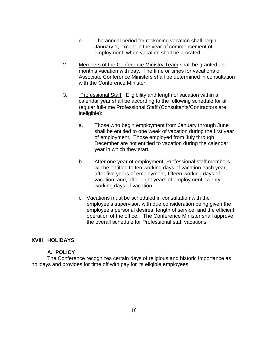- e. The annual period for reckoning vacation shall begin January 1, except in the year of commencement of employment, when vacation shall be prorated.
- 2. Members of the Conference Ministry Team shall be granted one month's vacation with pay. The time or times for vacations of Associate Conference Ministers shall be determined in consultation with the Conference Minister.
- 3. Professional Staff Eligibility and length of vacation within a calendar year shall be according to the following schedule for all regular full-time Professional Staff (Consultants/Contractors are ineligible):
	- a. Those who begin employment from January through June shall be entitled to one week of vacation during the first year of employment. Those employed from July through December are not entitled to vacation during the calendar year in which they start.
	- b. After one year of employment, Professional staff members will be entitled to ten working days of vacation each year; after five years of employment, fifteen working days of vacation; and, after eight years of employment, twenty working days of vacation.
	- c. Vacations must be scheduled in consultation with the employee's supervisor, with due consideration being given the employee's personal desires, length of service, and the efficient operation of the office. The Conference Minister shall approve the overall schedule for Professional staff vacations.

## **XVIII HOLIDAYS**

#### **A. POLICY**

The Conference recognizes certain days of religious and historic importance as holidays and provides for time off with pay for its eligible employees.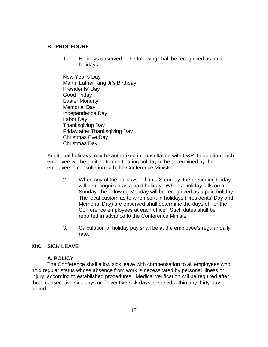#### **B. PROCEDURE**

- 1. Holidays observed. The following shall be recognized as paid holidays:
- New Year's Day Martin Luther King Jr's Birthday Presidents' Day Good Friday Easter Monday Memorial Day Independence Day Labor Day Thanksgiving Day Friday after Thanksgiving Day Christmas Eve Day Christmas Day

Additional holidays may be authorized in consultation with O&P. In addition each employee will be entitled to one floating holiday to be determined by the employee in consultation with the Conference Minister.

- 2. When any of the holidays fall on a Saturday, the preceding Friday will be recognized as a paid holiday. When a holiday falls on a Sunday, the following Monday will be recognized as a paid holiday. The local custom as to when certain holidays (Presidents' Day and Memorial Day) are observed shall determine the days off for the Conference employees at each office. Such dates shall be reported in advance to the Conference Minister.
- 3. Calculation of holiday pay shall be at the employee's regular daily rate.

#### **XIX. SICK LEAVE**

#### **A. POLICY**

The Conference shall allow sick leave with compensation to all employees who hold regular status whose absence from work is necessitated by personal illness or injury, according to established procedures. Medical verification will be required after three consecutive sick days or if over five sick days are used within any thirty-day period.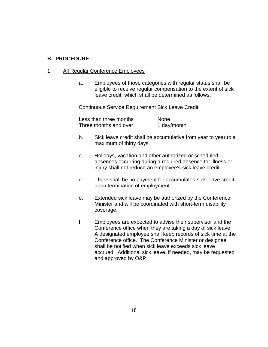#### **B. PROCEDURE**

#### 1. All Regular Conference Employees

a. Employees of those categories with regular status shall be eligible to receive regular compensation to the extent of sick leave credit, which shall be determined as follows:

#### Continuous Service Requirement Sick Leave Credit

Less than three months None Three months and over 1 day/month

- b. Sick leave credit shall be accumulative from year to year to a maximum of thirty days.
- c. Holidays, vacation and other authorized or scheduled absences occurring during a required absence for illness or injury shall not reduce an employee's sick leave credit.
- d. There shall be no payment for accumulated sick leave credit upon termination of employment.
- e. Extended sick leave may be authorized by the Conference Minister and will be coordinated with short-term disability coverage.
- f. Employees are expected to advise their supervisor and the Conference office when they are taking a day of sick leave. A designated employee shall keep records of sick time at the Conference office. The Conference Minister or designee shall be notified when sick leave exceeds sick leave accrued. Additional sick leave, if needed, may be requested and approved by O&P.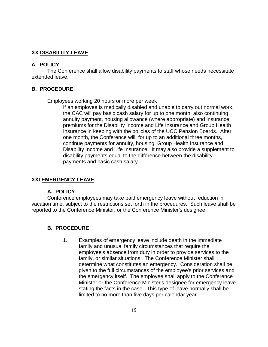## **XX DISABILITY LEAVE**

## **A. POLICY**

The Conference shall allow disability payments to staff whose needs necessitate extended leave.

## **B. PROCEDURE**

Employees working 20 hours or more per week

If an employee is medically disabled and unable to carry out normal work, the CAC will pay basic cash salary for up to one month, also continuing annuity payment, housing allowance (where appropriate) and insurance premiums for the Disability Income and Life Insurance and Group Health Insurance in keeping with the policies of the UCC Pension Boards. After one month, the Conference will, for up to an additional three months, continue payments for annuity, housing, Group Health Insurance and Disability Income and Life Insurance. It may also provide a supplement to disability payments equal to the difference between the disability payments and basic cash salary.

#### **XXI EMERGENCY LEAVE**

#### **A. POLICY**

Conference employees may take paid emergency leave without reduction in vacation time, subject to the restrictions set forth in the procedures. Such leave shall be reported to the Conference Minister, or the Conference Minister's designee.

#### **B. PROCEDURE**

1. Examples of emergency leave include death in the immediate family and unusual family circumstances that require the employee's absence from duty in order to provide services to the family, or similar situations. The Conference Minister shall determine what constitutes an emergency. Consideration shall be given to the full circumstances of the employee's prior services and the emergency itself. The employee shall apply to the Conference Minister or the Conference Minister's designee for emergency leave stating the facts in the case. This type of leave normally shall be limited to no more than five days per calendar year.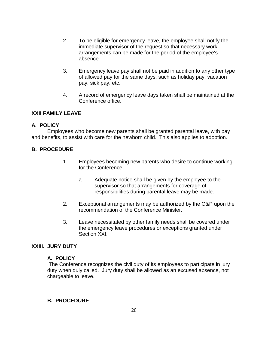- 2. To be eligible for emergency leave, the employee shall notify the immediate supervisor of the request so that necessary work arrangements can be made for the period of the employee's absence.
- 3. Emergency leave pay shall not be paid in addition to any other type of allowed pay for the same days, such as holiday pay, vacation pay, sick pay, etc.
- 4. A record of emergency leave days taken shall be maintained at the Conference office.

## **XXII FAMILY LEAVE**

## **A. POLICY**

Employees who become new parents shall be granted parental leave, with pay and benefits, to assist with care for the newborn child. This also applies to adoption.

## **B. PROCEDURE**

- 1. Employees becoming new parents who desire to continue working for the Conference.
	- a. Adequate notice shall be given by the employee to the supervisor so that arrangements for coverage of responsibilities during parental leave may be made.
- 2. Exceptional arrangements may be authorized by the O&P upon the recommendation of the Conference Minister.
- 3. Leave necessitated by other family needs shall be covered under the emergency leave procedures or exceptions granted under Section XXI.

#### **XXIII. JURY DUTY**

#### **A. POLICY**

The Conference recognizes the civil duty of its employees to participate in jury duty when duly called. Jury duty shall be allowed as an excused absence, not chargeable to leave.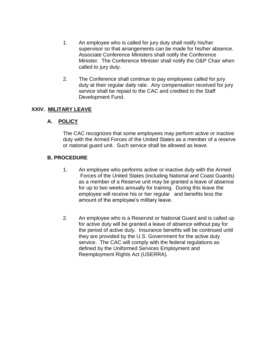- 1. An employee who is called for jury duty shall notify his/her supervisor so that arrangements can be made for his/her absence. Associate Conference Ministers shall notify the Conference Minister. The Conference Minister shall notify the O&P Chair when called to jury duty.
- 2. The Conference shall continue to pay employees called for jury duty at their regular daily rate. Any compensation received for jury service shall be repaid to the CAC and credited to the Staff Development Fund.

## **XXIV. MILITARY LEAVE**

## **A. POLICY**

The CAC recognizes that some employees may perform active or inactive duty with the Armed Forces of the United States as a member of a reserve or national guard unit. Such service shall be allowed as leave.

- 1. An employee who performs active or inactive duty with the Armed Forces of the United States (including National and Coast Guards) as a member of a Reserve unit may be granted a leave of absence for up to two weeks annually for training. During this leave the employee will receive his or her regular and benefits less the amount of the employee's military leave.
- 2. An employee who is a Reservist or National Guard and is called up for active duty will be granted a leave of absence without pay for the period of active duty. Insurance benefits will be continued until they are provided by the U.S. Government for the active duty service. The CAC will comply with the federal regulations as defined by the Uniformed Services Employment and Reemployment Rights Act (USERRA).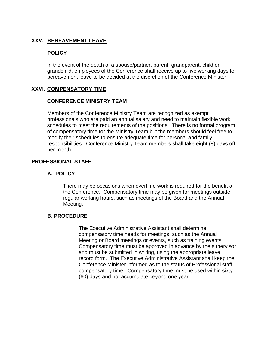## **XXV. BEREAVEMENT LEAVE**

## **POLICY**

In the event of the death of a spouse/partner, parent, grandparent, child or grandchild, employees of the Conference shall receive up to five working days for bereavement leave to be decided at the discretion of the Conference Minister.

#### **XXVI. COMPENSATORY TIME**

#### **CONFERENCE MINISTRY TEAM**

Members of the Conference Ministry Team are recognized as exempt professionals who are paid an annual salary and need to maintain flexible work schedules to meet the requirements of the positions. There is no formal program of compensatory time for the Ministry Team but the members should feel free to modify their schedules to ensure adequate time for personal and family responsibilities. Conference Ministry Team members shall take eight (8) days off per month.

## **PROFESSIONAL STAFF**

## **A. POLICY**

There may be occasions when overtime work is required for the benefit of the Conference. Compensatory time may be given for meetings outside regular working hours, such as meetings of the Board and the Annual Meeting.

#### **B. PROCEDURE**

The Executive Administrative Assistant shall determine compensatory time needs for meetings, such as the Annual Meeting or Board meetings or events, such as training events. Compensatory time must be approved in advance by the supervisor and must be submitted in writing, using the appropriate leave record form. The Executive Administrative Assistant shall keep the Conference Minister informed as to the status of Professional staff compensatory time. Compensatory time must be used within sixty (60) days and not accumulate beyond one year.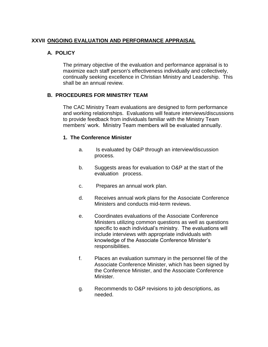## **XXVII ONGOING EVALUATION AND PERFORMANCE APPRAISAL**

## **A. POLICY**

The primary objective of the evaluation and performance appraisal is to maximize each staff person's effectiveness individually and collectively, continually seeking excellence in Christian Ministry and Leadership. This shall be an annual review.

## **B. PROCEDURES FOR MINISTRY TEAM**

The CAC Ministry Team evaluations are designed to form performance and working relationships. Evaluations will feature interviews/discussions to provide feedback from individuals familiar with the Ministry Team members' work. Ministry Team members will be evaluated annually.

#### **1. The Conference Minister**

- a. Is evaluated by O&P through an interview/discussion process.
- b. Suggests areas for evaluation to O&P at the start of the evaluation process.
- c. Prepares an annual work plan.
- d. Receives annual work plans for the Associate Conference Ministers and conducts mid-term reviews.
- e. Coordinates evaluations of the Associate Conference Ministers utilizing common questions as well as questions specific to each individual's ministry. The evaluations will include interviews with appropriate individuals with knowledge of the Associate Conference Minister's responsibilities.
- f. Places an evaluation summary in the personnel file of the Associate Conference Minister, which has been signed by the Conference Minister, and the Associate Conference Minister.
- g. Recommends to O&P revisions to job descriptions, as needed.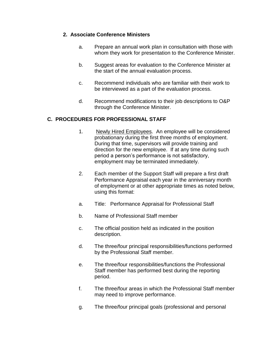#### **2. Associate Conference Ministers**

- a. Prepare an annual work plan in consultation with those with whom they work for presentation to the Conference Minister.
- b. Suggest areas for evaluation to the Conference Minister at the start of the annual evaluation process.
- c. Recommend individuals who are familiar with their work to be interviewed as a part of the evaluation process.
- d. Recommend modifications to their job descriptions to O&P through the Conference Minister.

## **C. PROCEDURES FOR PROFESSIONAL STAFF**

- 1. Newly Hired Employees. An employee will be considered probationary during the first three months of employment. During that time, supervisors will provide training and direction for the new employee. If at any time during such period a person's performance is not satisfactory, employment may be terminated immediately.
- 2. Each member of the Support Staff will prepare a first draft Performance Appraisal each year in the anniversary month of employment or at other appropriate times as noted below, using this format:
- a. Title: Performance Appraisal for Professional Staff
- b. Name of Professional Staff member
- c. The official position held as indicated in the position description.
- d. The three/four principal responsibilities/functions performed by the Professional Staff member.
- e. The three/four responsibilities/functions the Professional Staff member has performed best during the reporting period.
- f. The three/four areas in which the Professional Staff member may need to improve performance.
- g. The three/four principal goals (professional and personal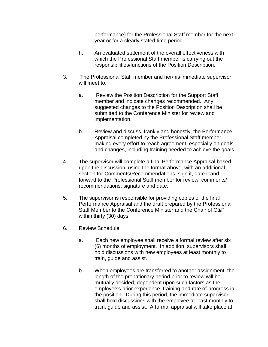performance) for the Professional Staff member for the next year or for a clearly stated time period.

- h. An evaluated statement of the overall effectiveness with which the Professional Staff member is carrying out the responsibilities/functions of the Position Description.
- 3. The Professional Staff member and her/his immediate supervisor will meet to:
	- a. Review the Position Description for the Support Staff member and indicate changes recommended. Any suggested changes to the Position Description shall be submitted to the Conference Minister for review and implementation.
	- b. Review and discuss, frankly and honestly, the Performance Appraisal completed by the Professional Staff member, making every effort to reach agreement, especially on goals and changes, including training needed to achieve the goals.
- 4. The supervisor will complete a final Performance Appraisal based upon the discussion, using the format above, with an additional section for Comments/Recommendations, sign it, date it and forward to the Professional Staff member for review, comments/ recommendations, signature and date.
- 5. The supervisor is responsible for providing copies of the final Performance Appraisal and the draft prepared by the Professional Staff Member to the Conference Minister and the Chair of O&P within thirty (30) days.
- 6. Review Schedule:
	- a. Each new employee shall receive a formal review after six (6) months of employment. In addition, supervisors shall hold discussions with new employees at least monthly to train, guide and assist.
	- b. When employees are transferred to another assignment, the length of the probationary period prior to review will be mutually decided, dependent upon such factors as the employee's prior experience, training and rate of progress in the position. During this period, the immediate supervisor shall hold discussions with the employee at least monthly to train, guide and assist. A formal appraisal will take place at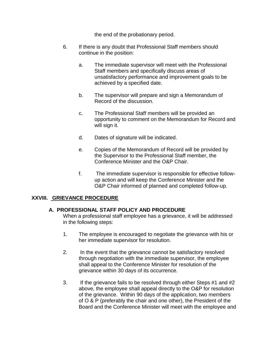the end of the probationary period.

- 6. If there is any doubt that Professional Staff members should continue in the position:
	- a. The immediate supervisor will meet with the Professional Staff members and specifically discuss areas of unsatisfactory performance and improvement goals to be achieved by a specified date.
	- b. The supervisor will prepare and sign a Memorandum of Record of the discussion.
	- c. The Professional Staff members will be provided an opportunity to comment on the Memorandum for Record and will sign it.
	- d. Dates of signature will be indicated.
	- e. Copies of the Memorandum of Record will be provided by the Supervisor to the Professional Staff member, the Conference Minister and the O&P Chair.
	- f. The immediate supervisor is responsible for effective followup action and will keep the Conference Minister and the O&P Chair informed of planned and completed follow-up.

## **XXVIII. GRIEVANCE PROCEDURE**

## **A. PROFESSIONAL STAFF POLICY AND PROCEDURE**

When a professional staff employee has a grievance, it will be addressed in the following steps:

- 1. The employee is encouraged to negotiate the grievance with his or her immediate supervisor for resolution.
- 2. In the event that the grievance cannot be satisfactory resolved through negotiation with the immediate supervisor, the employee shall appeal to the Conference Minister for resolution of the grievance within 30 days of its occurrence.
- 3. If the grievance fails to be resolved through either Steps #1 and #2 above, the employee shall appeal directly to the O&P for resolution of the grievance. Within 90 days of the application, two members of O & P (preferably the chair and one other), the President of the Board and the Conference Minister will meet with the employee and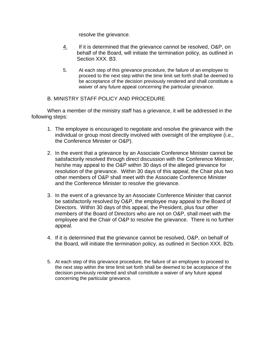resolve the grievance.

- 4. If it is determined that the grievance cannot be resolved, O&P, on behalf of the Board, will initiate the termination policy, as outlined in Section XXX. B3.
- 5. At each step of this grievance procedure, the failure of an employee to proceed to the next step within the time limit set forth shall be deemed to be acceptance of the decision previously rendered and shall constitute a waiver of any future appeal concerning the particular grievance.

## B. MINISTRY STAFF POLICY AND PROCEDURE

When a member of the ministry staff has a grievance, it will be addressed in the following steps:

- 1. The employee is encouraged to negotiate and resolve the grievance with the individual or group most directly involved with oversight of the employee (i.e., the Conference Minister or O&P).
- 2. In the event that a grievance by an Associate Conference Minister cannot be satisfactorily resolved through direct discussion with the Conference Minister, he/she may appeal to the O&P within 30 days of the alleged grievance for resolution of the grievance. Within 30 days of this appeal, the Chair plus two other members of O&P shall meet with the Associate Conference Minister and the Conference Minister to resolve the grievance.
- 3. In the event of a grievance by an Associate Conference Minister that cannot be satisfactorily resolved by O&P, the employee may appeal to the Board of Directors. Within 30 days of this appeal, the President, plus four other members of the Board of Directors who are not on O&P, shall meet with the employee and the Chair of O&P to resolve the grievance. There is no further appeal.
- 4. If it is determined that the grievance cannot be resolved, O&P, on behalf of the Board, will initiate the termination policy, as outlined in Section XXX. B2b.
- 5. At each step of this grievance procedure, the failure of an employee to proceed to the next step within the time limit set forth shall be deemed to be acceptance of the decision previously rendered and shall constitute a waiver of any future appeal concerning the particular grievance.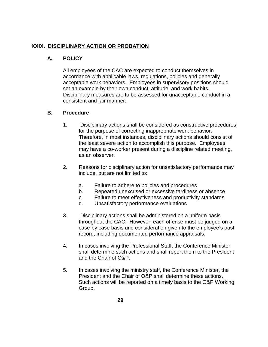## **XXIX. DISCIPLINARY ACTION OR PROBATION**

## **A. POLICY**

All employees of the CAC are expected to conduct themselves in accordance with applicable laws, regulations, policies and generally acceptable work behaviors. Employees in supervisory positions should set an example by their own conduct, attitude, and work habits. Disciplinary measures are to be assessed for unacceptable conduct in a consistent and fair manner.

## **B. Procedure**

- 1. Disciplinary actions shall be considered as constructive procedures for the purpose of correcting inappropriate work behavior. Therefore, in most instances, disciplinary actions should consist of the least severe action to accomplish this purpose. Employees may have a co-worker present during a discipline related meeting, as an observer.
- 2. Reasons for disciplinary action for unsatisfactory performance may include, but are not limited to:
	- a. Failure to adhere to policies and procedures
	- b. Repeated unexcused or excessive tardiness or absence
	- c. Failure to meet effectiveness and productivity standards
	- d. Unsatisfactory performance evaluations
- 3. Disciplinary actions shall be administered on a uniform basis throughout the CAC. However, each offense must be judged on a case-by case basis and consideration given to the employee's past record, including documented performance appraisals.
- 4. In cases involving the Professional Staff, the Conference Minister shall determine such actions and shall report them to the President and the Chair of O&P.
- 5. In cases involving the ministry staff, the Conference Minister, the President and the Chair of O&P shall determine these actions. Such actions will be reported on a timely basis to the O&P Working Group.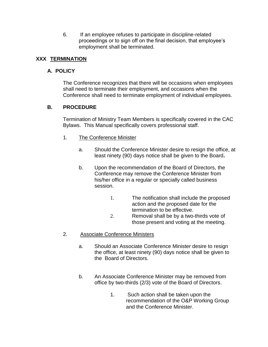6. If an employee refuses to participate in discipline-related proceedings or to sign off on the final decision, that employee's employment shall be terminated.

## **XXX TERMINATION**

## **A. POLICY**

The Conference recognizes that there will be occasions when employees shall need to terminate their employment, and occasions when the Conference shall need to terminate employment of individual employees.

## **B. PROCEDURE**

Termination of Ministry Team Members is specifically covered in the CAC Bylaws. This Manual specifically covers professional staff.

- 1. The Conference Minister
	- a. Should the Conference Minister desire to resign the office, at least ninety (90) days notice shall be given to the Board**.**
	- b. Upon the recommendation of the Board of Directors, the Conference may remove the Conference Minister from his/her office in a regular or specially called business session.
		- 1. The notification shall include the proposed action and the proposed date for the termination to be effective.
		- 2. Removal shall be by a two-thirds vote of those present and voting at the meeting.

## 2. Associate Conference Ministers

- a. Should an Associate Conference Minister desire to resign the office, at least ninety (90) days notice shall be given to the Board of Directors.
- b. An Associate Conference Minister may be removed from office by two-thirds (2/3) vote of the Board of Directors.
	- 1. Such action shall be taken upon the recommendation of the O&P Working Group and the Conference Minister.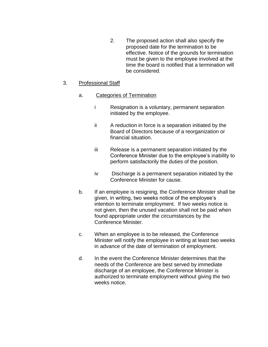2. The proposed action shall also specify the proposed date for the termination to be effective. Notice of the grounds for termination must be given to the employee involved at the time the board is notified that a termination will be considered.

## 3. Professional Staff

## a. Categories of Termination

- i Resignation is a voluntary, permanent separation initiated by the employee.
- ii A reduction in force is a separation initiated by the Board of Directors because of a reorganization or financial situation.
- iii Release is a permanent separation initiated by the Conference Minister due to the employee's inability to perform satisfactorily the duties of the position.
- iv Discharge is a permanent separation initiated by the Conference Minister for cause.
- b. If an employee is resigning, the Conference Minister shall be given, in writing, two weeks notice of the employee's intention to terminate employment. If two weeks notice is not given, then the unused vacation shall not be paid when found appropriate under the circumstances by the Conference Minister.
- c. When an employee is to be released, the Conference Minister will notify the employee in writing at least two weeks in advance of the date of termination of employment.
- d. In the event the Conference Minister determines that the needs of the Conference are best served by immediate discharge of an employee, the Conference Minister is authorized to terminate employment without giving the two weeks notice.